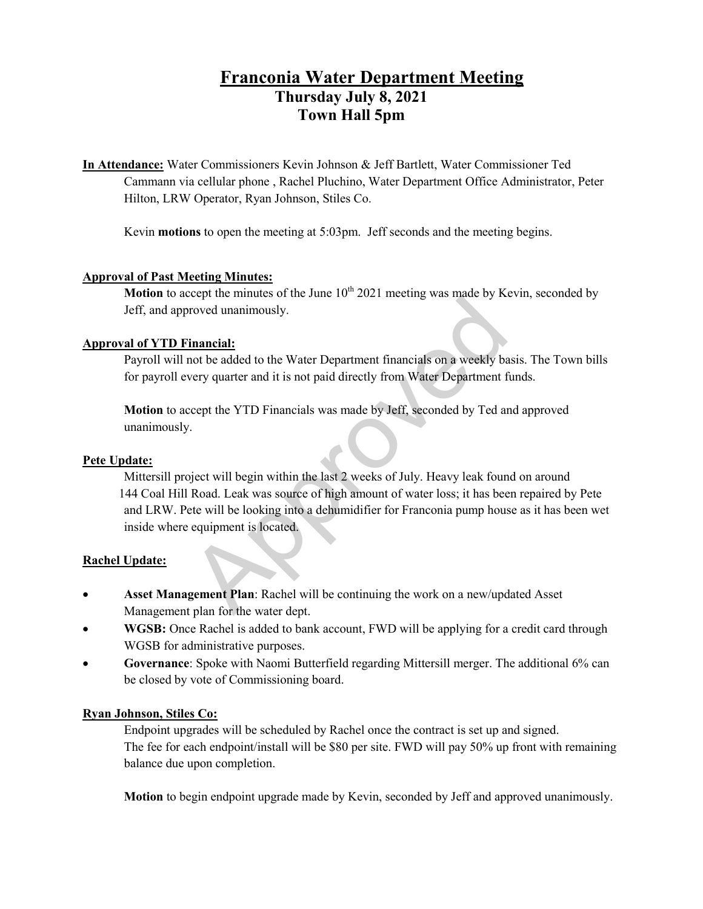# **Franconia Water Department Meeting Thursday July 8, 2021 Town Hall 5pm**

**In Attendance:** Water Commissioners Kevin Johnson & Jeff Bartlett, Water Commissioner Ted Cammann via cellular phone , Rachel Pluchino, Water Department Office Administrator, Peter Hilton, LRW Operator, Ryan Johnson, Stiles Co.

Kevin **motions** to open the meeting at 5:03pm. Jeff seconds and the meeting begins.

## **Approval of Past Meeting Minutes:**

**Motion** to accept the minutes of the June  $10<sup>th</sup> 2021$  meeting was made by Kevin, seconded by Jeff, and approved unanimously.

## **Approval of YTD Financial:**

Payroll will not be added to the Water Department financials on a weekly basis. The Town bills for payroll every quarter and it is not paid directly from Water Department funds.

**Motion** to accept the YTD Financials was made by Jeff, seconded by Ted and approved unanimously.

# **Pete Update:**

Mittersill project will begin within the last 2 weeks of July. Heavy leak found on around 144 Coal Hill Road. Leak was source of high amount of water loss; it has been repaired by Pete and LRW. Pete will be looking into a dehumidifier for Franconia pump house as it has been wet inside where equipment is located. Exercise in minimizes of the state 10 2021 incelling was made by reformed unanimously.<br> **inancial:**<br>
mot be added to the Water Department financials on a weekly be<br>
very quarter and it is not paid directly from Water Depar

# **Rachel Update:**

- **Asset Management Plan**: Rachel will be continuing the work on a new/updated Asset Management plan for the water dept.
- **WGSB:** Once Rachel is added to bank account, FWD will be applying for a credit card through WGSB for administrative purposes.
- **Governance**: Spoke with Naomi Butterfield regarding Mittersill merger. The additional 6% can be closed by vote of Commissioning board.

# **Ryan Johnson, Stiles Co:**

Endpoint upgrades will be scheduled by Rachel once the contract is set up and signed. The fee for each endpoint/install will be \$80 per site. FWD will pay 50% up front with remaining balance due upon completion.

**Motion** to begin endpoint upgrade made by Kevin, seconded by Jeff and approved unanimously.